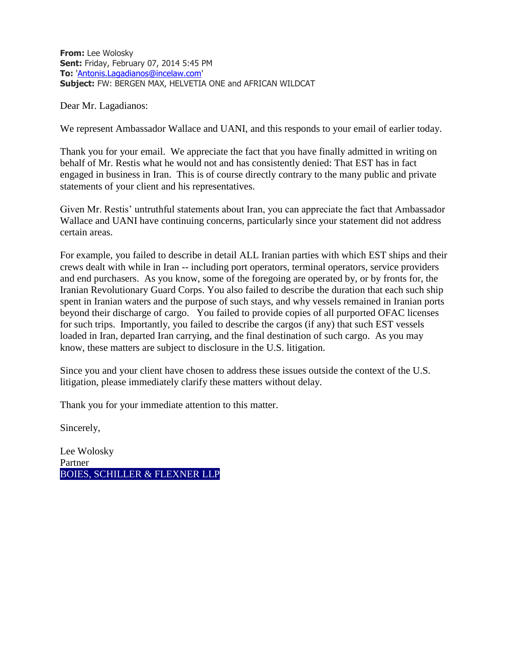**From:** Lee Wolosky **Sent:** Friday, February 07, 2014 5:45 PM **To:** ['Antonis.Lagadianos@incelaw.com'](mailto:Antonis.Lagadianos@incelaw.com) **Subject:** FW: BERGEN MAX, HELVETIA ONE and AFRICAN WILDCAT

Dear Mr. Lagadianos:

We represent Ambassador Wallace and UANI, and this responds to your email of earlier today.

Thank you for your email. We appreciate the fact that you have finally admitted in writing on behalf of Mr. Restis what he would not and has consistently denied: That EST has in fact engaged in business in Iran. This is of course directly contrary to the many public and private statements of your client and his representatives.

Given Mr. Restis' untruthful statements about Iran, you can appreciate the fact that Ambassador Wallace and UANI have continuing concerns, particularly since your statement did not address certain areas.

For example, you failed to describe in detail ALL Iranian parties with which EST ships and their crews dealt with while in Iran -- including port operators, terminal operators, service providers and end purchasers. As you know, some of the foregoing are operated by, or by fronts for, the Iranian Revolutionary Guard Corps. You also failed to describe the duration that each such ship spent in Iranian waters and the purpose of such stays, and why vessels remained in Iranian ports beyond their discharge of cargo. You failed to provide copies of all purported OFAC licenses for such trips. Importantly, you failed to describe the cargos (if any) that such EST vessels loaded in Iran, departed Iran carrying, and the final destination of such cargo. As you may know, these matters are subject to disclosure in the U.S. litigation.

Since you and your client have chosen to address these issues outside the context of the U.S. litigation, please immediately clarify these matters without delay.

Thank you for your immediate attention to this matter.

Sincerely,

Lee Wolosky Partner BOIES, SCHILLER & FLEXNER LLP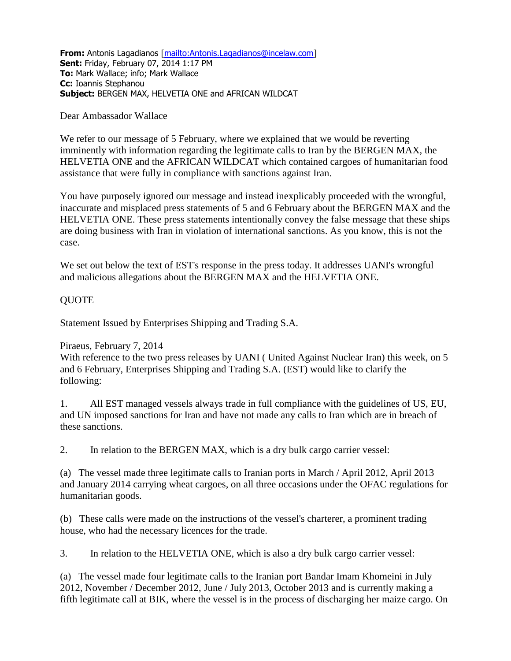**From:** Antonis Lagadianos [\[mailto:Antonis.Lagadianos@incelaw.com\]](mailto:Antonis.Lagadianos@incelaw.com) **Sent:** Friday, February 07, 2014 1:17 PM **To:** Mark Wallace; info; Mark Wallace **Cc:** Ioannis Stephanou **Subject:** BERGEN MAX, HELVETIA ONE and AFRICAN WILDCAT

## Dear Ambassador Wallace

We refer to our message of 5 February, where we explained that we would be reverting imminently with information regarding the legitimate calls to Iran by the BERGEN MAX, the HELVETIA ONE and the AFRICAN WILDCAT which contained cargoes of humanitarian food assistance that were fully in compliance with sanctions against Iran.

You have purposely ignored our message and instead inexplicably proceeded with the wrongful, inaccurate and misplaced press statements of 5 and 6 February about the BERGEN MAX and the HELVETIA ONE. These press statements intentionally convey the false message that these ships are doing business with Iran in violation of international sanctions. As you know, this is not the case.

We set out below the text of EST's response in the press today. It addresses UANI's wrongful and malicious allegations about the BERGEN MAX and the HELVETIA ONE.

## QUOTE

Statement Issued by Enterprises Shipping and Trading S.A.

Piraeus, February 7, 2014

With reference to the two press releases by UANI ( United Against Nuclear Iran) this week, on 5 and 6 February, Enterprises Shipping and Trading S.A. (EST) would like to clarify the following:

1. All EST managed vessels always trade in full compliance with the guidelines of US, EU, and UN imposed sanctions for Iran and have not made any calls to Iran which are in breach of these sanctions.

2. In relation to the BERGEN MAX, which is a dry bulk cargo carrier vessel:

(a) The vessel made three legitimate calls to Iranian ports in March / April 2012, April 2013 and January 2014 carrying wheat cargoes, on all three occasions under the OFAC regulations for humanitarian goods.

(b) These calls were made on the instructions of the vessel's charterer, a prominent trading house, who had the necessary licences for the trade.

3. In relation to the HELVETIA ONE, which is also a dry bulk cargo carrier vessel:

(a) The vessel made four legitimate calls to the Iranian port Bandar Imam Khomeini in July 2012, November / December 2012, June / July 2013, October 2013 and is currently making a fifth legitimate call at BIK, where the vessel is in the process of discharging her maize cargo. On